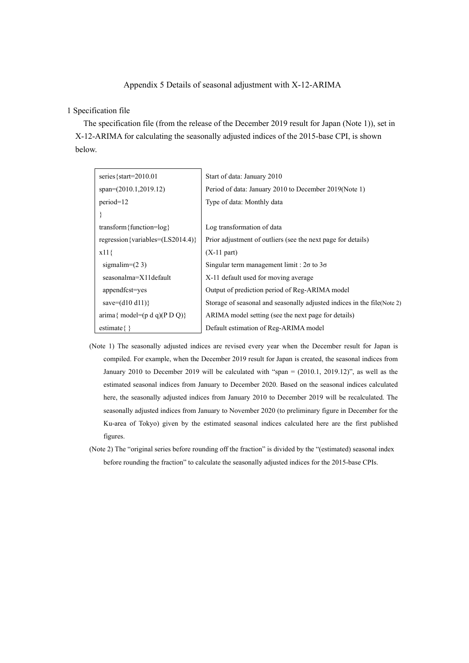## Appendix 5 Details of seasonal adjustment with X-12-ARIMA

## 1 Specification file

The specification file (from the release of the December 2019 result for Japan (Note 1)), set in X-12-ARIMA for calculating the seasonally adjusted indices of the 2015-base CPI, is shown below.

| series {start= $2010.01$                                          | Start of data: January 2010                                              |
|-------------------------------------------------------------------|--------------------------------------------------------------------------|
| $span=(2010.1,2019.12)$                                           | Period of data: January 2010 to December 2019 (Note 1)                   |
| $period=12$                                                       | Type of data: Monthly data                                               |
|                                                                   |                                                                          |
| transform { function= $log$ }                                     | Log transformation of data                                               |
| regression {variables= $(LS2014.4)$ }                             | Prior adjustment of outliers (see the next page for details)             |
| $x11\}$                                                           | $(X-11$ part)                                                            |
| sigmalim= $(23)$                                                  | Singular term management limit : $2\sigma$ to $3\sigma$                  |
| seasonalma=X11default                                             | X-11 default used for moving average                                     |
| appendfcst=yes                                                    | Output of prediction period of Reg-ARIMA model                           |
| save= $(d10 d11)$ }                                               | Storage of seasonal and seasonally adjusted indices in the file (Note 2) |
| $\text{arima} \{ \text{ model} = (\text{p d q})(\text{p D Q}) \}$ | ARIMA model setting (see the next page for details)                      |
| estimate $\{\}$                                                   | Default estimation of Reg-ARIMA model                                    |

- (Note 1) The seasonally adjusted indices are revised every year when the December result for Japan is compiled. For example, when the December 2019 result for Japan is created, the seasonal indices from January 2010 to December 2019 will be calculated with "span = (2010.1, 2019.12)", as well as the estimated seasonal indices from January to December 2020. Based on the seasonal indices calculated here, the seasonally adjusted indices from January 2010 to December 2019 will be recalculated. The seasonally adjusted indices from January to November 2020 (to preliminary figure in December for the Ku-area of Tokyo) given by the estimated seasonal indices calculated here are the first published figures.
- (Note 2) The "original series before rounding off the fraction" is divided by the "(estimated) seasonal index before rounding the fraction" to calculate the seasonally adjusted indices for the 2015-base CPIs.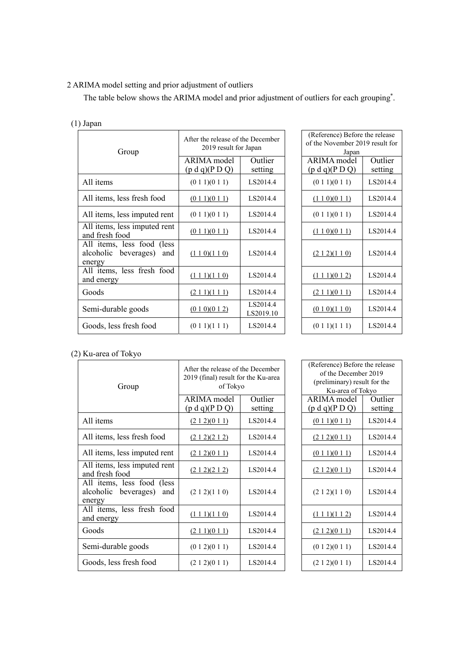## 2 ARIMA model setting and prior adjustment of outliers

The table below shows the ARIMA model and prior adjustment of outliers for each grouping<sup>\*</sup>.

| $(1)$ Japan                                                      |                                                            |                       |                                                                            |                    |  |
|------------------------------------------------------------------|------------------------------------------------------------|-----------------------|----------------------------------------------------------------------------|--------------------|--|
| Group                                                            | After the release of the December<br>2019 result for Japan |                       | (Reference) Before the release<br>of the November 2019 result for<br>Japan |                    |  |
|                                                                  | ARIMA model<br>(p d q)(P D Q)                              | Outlier<br>setting    | ARIMA model<br>(p d q)(P D Q)                                              | Outlier<br>setting |  |
| All items                                                        | (0 1 1)(0 1 1)                                             | LS2014.4              | (0 1 1)(0 1 1)                                                             | LS2014.4           |  |
| All items, less fresh food                                       | (011)(011)                                                 | LS2014.4              | (1 1 0)(0 1 1)                                                             | LS2014.4           |  |
| All items, less imputed rent                                     | (0 1 1)(0 1 1)                                             | LS2014.4              | (0 1 1)(0 1 1)                                                             | LS2014.4           |  |
| All items, less imputed rent<br>and fresh food                   | (0 1 1)(0 1 1)                                             | LS2014.4              | (1 1 0)(0 1 1)                                                             | LS2014.4           |  |
| All items, less food (less<br>alcoholic beverages) and<br>energy | (110)(110)                                                 | LS2014.4              | (212)(110)                                                                 | LS2014.4           |  |
| All items, less fresh food<br>and energy                         | $(1\ 1\ 1)(1\ 1\ 0)$                                       | LS2014.4              | $(1\ 1\ 1)(0\ 1\ 2)$                                                       | LS2014.4           |  |
| Goods                                                            | (211)(111)                                                 | LS2014.4              | (211)(011)                                                                 | LS2014.4           |  |
| Semi-durable goods                                               | (0 1 0)(0 1 2)                                             | LS2014.4<br>LS2019.10 | (0 1 0)(1 1 0)                                                             | LS2014.4           |  |
| Goods, less fresh food                                           | (0 1 1)(1 1 1)                                             | LS2014.4              | (0 1 1)(1 1 1)                                                             | LS2014.4           |  |

| fter the release of the December<br>2019 result for Japan |                       | (Reference) Before the release<br>of the November 2019 result for<br>Japan |                    |  |
|-----------------------------------------------------------|-----------------------|----------------------------------------------------------------------------|--------------------|--|
| RIMA model<br>o d q)(P D Q)                               | Outlier<br>setting    | ARIMA model<br>(p d q)(P D Q)                                              | Outlier<br>setting |  |
| (0 1 1)(0 1 1)                                            | LS2014.4              | (0 1 1)(0 1 1)                                                             | LS2014.4           |  |
| (011)(011)                                                | LS2014.4              | (1 1 0)(0 1 1)                                                             | LS2014.4           |  |
| (0 1 1)(0 1 1)                                            | LS2014.4              | (0 1 1)(0 1 1)                                                             | LS2014.4           |  |
| (011)(011)                                                | LS2014.4              | (1 1 0)(0 1 1)                                                             | LS2014.4           |  |
| (110)(110)                                                | LS2014.4              | (212)(110)                                                                 | LS2014.4           |  |
| $(1\ 1\ 1)(1\ 1\ 0)$                                      | LS2014.4              | $(1\ 1\ 1)(0\ 1\ 2)$                                                       | LS2014.4           |  |
| (211)(111)                                                | LS2014.4              | (211)(011)                                                                 | LS2014.4           |  |
| (0 1 0)(0 1 2)                                            | LS2014.4<br>LS2019.10 | (0 1 0)(1 1 0)                                                             | LS2014.4           |  |
| (0 1 1)(1 1 1)                                            | LS2014.4              | (0 1 1)(1 1 1)                                                             | LS2014.4           |  |

## (2) Ku-area of Tokyo

| Group                                                               | After the release of the December<br>2019 (final) result for the Ku-area<br>of Tokyo |                    | (Reference) Before the release<br>of the December 2019<br>(preliminary) result for the<br>Ku-area of Tokyo |                    |
|---------------------------------------------------------------------|--------------------------------------------------------------------------------------|--------------------|------------------------------------------------------------------------------------------------------------|--------------------|
|                                                                     | ARIMA model<br>(p d q)(P D Q)                                                        | Outlier<br>setting | ARIMA model<br>(p d q)(P D Q)                                                                              | Outlier<br>setting |
| All items                                                           | (212)(011)                                                                           | LS2014.4           | (0 1 1)(0 1 1)                                                                                             | LS2014.4           |
| All items, less fresh food                                          | (212)(212)                                                                           | LS2014.4           | (212)(011)                                                                                                 | LS2014.4           |
| All items, less imputed rent                                        | (212)(011)                                                                           | LS2014.4           | (011)(011)                                                                                                 | LS2014.4           |
| All items, less imputed rent<br>and fresh food                      | (212)(212)                                                                           | LS2014.4           | (212)(011)                                                                                                 | LS2014.4           |
| All items, less food (less<br>alcoholic beverages)<br>and<br>energy | (2 1 2)(1 1 0)                                                                       | LS2014.4           | (2 1 2)(1 1 0)                                                                                             | LS2014.4           |
| All items, less fresh food<br>and energy                            | $(1\ 1\ 1)(1\ 1\ 0)$                                                                 | LS2014.4           | $(1\ 1\ 1)(1\ 1\ 2)$                                                                                       | LS2014.4           |
| Goods                                                               | (211)(011)                                                                           | LS2014.4           | (212)(011)                                                                                                 | LS2014.4           |
| Semi-durable goods                                                  | (0 1 2)(0 1 1)                                                                       | LS2014.4           | (0 1 2)(0 1 1)                                                                                             | LS2014.4           |
| Goods, less fresh food                                              | (2 1 2)(0 1 1)                                                                       | LS2014.4           | (2 1 2)(0 1 1)                                                                                             | LS2014.4           |

| (Reference) Before the release |                             |  |  |  |
|--------------------------------|-----------------------------|--|--|--|
| of the December 2019           |                             |  |  |  |
| (preliminary) result for the   |                             |  |  |  |
| Ku-area of Tokyo               |                             |  |  |  |
| ARIMA model                    | $\overline{\text{Outlier}}$ |  |  |  |
| (p d q)(P D Q)                 | setting                     |  |  |  |
| $(0\ 1\ 1)(0\ 1\ 1)$           | LS2014.4                    |  |  |  |
| (212)(011)                     | LS2014.4                    |  |  |  |
| $(0\ 1\ 1)(0\ 1\ 1)$           | LS2014.4                    |  |  |  |
| (212)(011)                     | LS2014.4                    |  |  |  |
| (212)(110)                     | LS2014.4                    |  |  |  |
| $(1\ 1\ 1)(1\ 1\ 2)$           | LS2014.4                    |  |  |  |
| (212)(011)                     | LS2014.4                    |  |  |  |
| (0 1 2)(0 1 1)                 | LS2014.4                    |  |  |  |
| (2 1 2)(0 1 1)                 | LS2014.4                    |  |  |  |